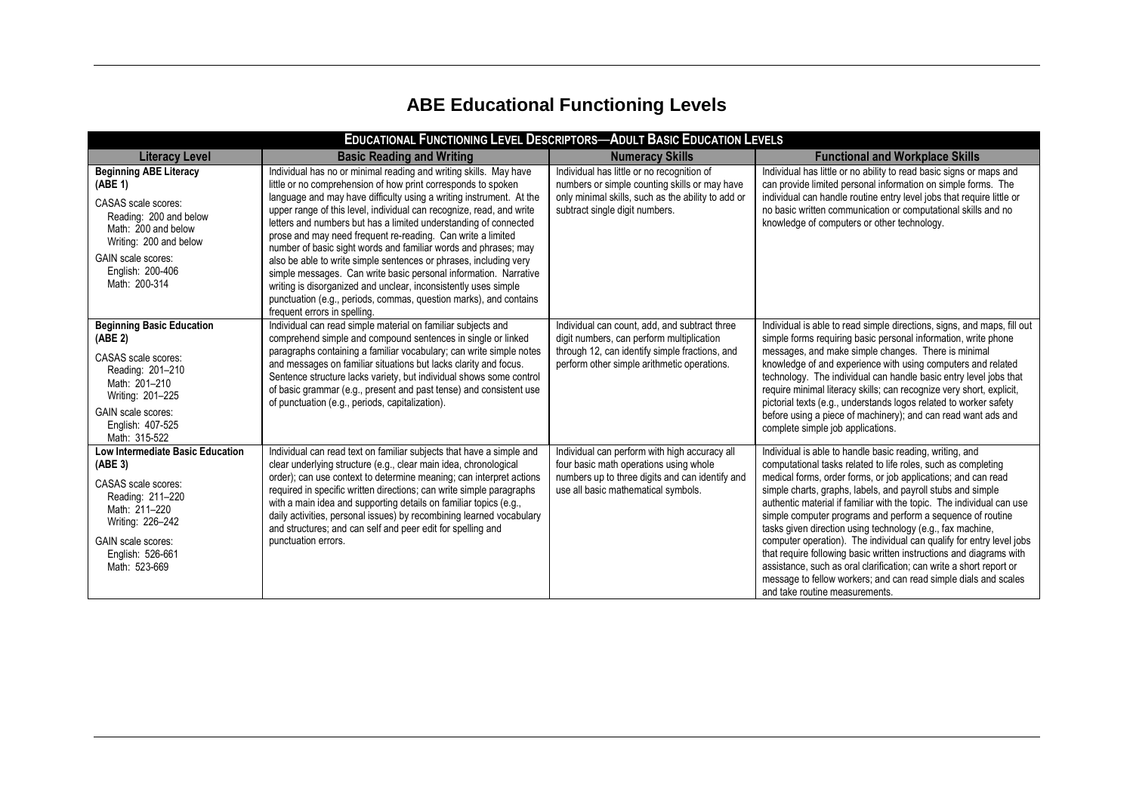## **ABE Educational Functioning Levels**

| <b>EDUCATIONAL FUNCTIONING LEVEL DESCRIPTORS-ADULT BASIC EDUCATION LEVELS</b>                                                                                                                                |                                                                                                                                                                                                                                                                                                                                                                                                                                                                                                                                                                                                                                                                                                                                                                                                          |                                                                                                                                                                                             |                                                                                                                                                                                                                                                                                                                                                                                                                                                                                                                                                                                                                                                                                                                                                                                           |  |
|--------------------------------------------------------------------------------------------------------------------------------------------------------------------------------------------------------------|----------------------------------------------------------------------------------------------------------------------------------------------------------------------------------------------------------------------------------------------------------------------------------------------------------------------------------------------------------------------------------------------------------------------------------------------------------------------------------------------------------------------------------------------------------------------------------------------------------------------------------------------------------------------------------------------------------------------------------------------------------------------------------------------------------|---------------------------------------------------------------------------------------------------------------------------------------------------------------------------------------------|-------------------------------------------------------------------------------------------------------------------------------------------------------------------------------------------------------------------------------------------------------------------------------------------------------------------------------------------------------------------------------------------------------------------------------------------------------------------------------------------------------------------------------------------------------------------------------------------------------------------------------------------------------------------------------------------------------------------------------------------------------------------------------------------|--|
| <b>Literacy Level</b>                                                                                                                                                                                        | <b>Basic Reading and Writing</b>                                                                                                                                                                                                                                                                                                                                                                                                                                                                                                                                                                                                                                                                                                                                                                         | <b>Numeracy Skills</b>                                                                                                                                                                      | <b>Functional and Workplace Skills</b>                                                                                                                                                                                                                                                                                                                                                                                                                                                                                                                                                                                                                                                                                                                                                    |  |
| <b>Beginning ABE Literacy</b><br>(ABE 1)<br>CASAS scale scores:<br>Reading: 200 and below<br>Math: 200 and below<br>Writing: 200 and below<br><b>GAIN</b> scale scores:<br>English: 200-406<br>Math: 200-314 | Individual has no or minimal reading and writing skills. May have<br>little or no comprehension of how print corresponds to spoken<br>language and may have difficulty using a writing instrument. At the<br>upper range of this level, individual can recognize, read, and write<br>letters and numbers but has a limited understanding of connected<br>prose and may need frequent re-reading. Can write a limited<br>number of basic sight words and familiar words and phrases; may<br>also be able to write simple sentences or phrases, including very<br>simple messages. Can write basic personal information. Narrative<br>writing is disorganized and unclear, inconsistently uses simple<br>punctuation (e.g., periods, commas, question marks), and contains<br>frequent errors in spelling. | Individual has little or no recognition of<br>numbers or simple counting skills or may have<br>only minimal skills, such as the ability to add or<br>subtract single digit numbers.         | Individual has little or no ability to read basic signs or maps and<br>can provide limited personal information on simple forms. The<br>individual can handle routine entry level jobs that require little or<br>no basic written communication or computational skills and no<br>knowledge of computers or other technology.                                                                                                                                                                                                                                                                                                                                                                                                                                                             |  |
| <b>Beginning Basic Education</b><br>(ABE <sub>2</sub> )<br>CASAS scale scores:<br>Reading: 201-210<br>Math: 201-210<br>Writing: 201-225<br>GAIN scale scores:<br>English: 407-525<br>Math: 315-522           | Individual can read simple material on familiar subjects and<br>comprehend simple and compound sentences in single or linked<br>paragraphs containing a familiar vocabulary; can write simple notes<br>and messages on familiar situations but lacks clarity and focus.<br>Sentence structure lacks variety, but individual shows some control<br>of basic grammar (e.g., present and past tense) and consistent use<br>of punctuation (e.g., periods, capitalization).                                                                                                                                                                                                                                                                                                                                  | Individual can count, add, and subtract three<br>digit numbers, can perform multiplication<br>through 12, can identify simple fractions, and<br>perform other simple arithmetic operations. | Individual is able to read simple directions, signs, and maps, fill out<br>simple forms requiring basic personal information, write phone<br>messages, and make simple changes. There is minimal<br>knowledge of and experience with using computers and related<br>technology. The individual can handle basic entry level jobs that<br>require minimal literacy skills; can recognize very short, explicit,<br>pictorial texts (e.g., understands logos related to worker safety<br>before using a piece of machinery); and can read want ads and<br>complete simple job applications.                                                                                                                                                                                                  |  |
| <b>Low Intermediate Basic Education</b><br>(ABE <sub>3</sub> )<br>CASAS scale scores:<br>Reading: 211-220<br>Math: 211-220<br>Writing: 226-242<br>GAIN scale scores:<br>English: 526-661<br>Math: 523-669    | Individual can read text on familiar subjects that have a simple and<br>clear underlying structure (e.g., clear main idea, chronological<br>order); can use context to determine meaning; can interpret actions<br>required in specific written directions; can write simple paragraphs<br>with a main idea and supporting details on familiar topics (e.g.,<br>daily activities, personal issues) by recombining learned vocabulary<br>and structures; and can self and peer edit for spelling and<br>punctuation errors.                                                                                                                                                                                                                                                                               | Individual can perform with high accuracy all<br>four basic math operations using whole<br>numbers up to three digits and can identify and<br>use all basic mathematical symbols.           | Individual is able to handle basic reading, writing, and<br>computational tasks related to life roles, such as completing<br>medical forms, order forms, or job applications; and can read<br>simple charts, graphs, labels, and payroll stubs and simple<br>authentic material if familiar with the topic. The individual can use<br>simple computer programs and perform a sequence of routine<br>tasks given direction using technology (e.g., fax machine,<br>computer operation). The individual can qualify for entry level jobs<br>that require following basic written instructions and diagrams with<br>assistance, such as oral clarification; can write a short report or<br>message to fellow workers; and can read simple dials and scales<br>and take routine measurements. |  |